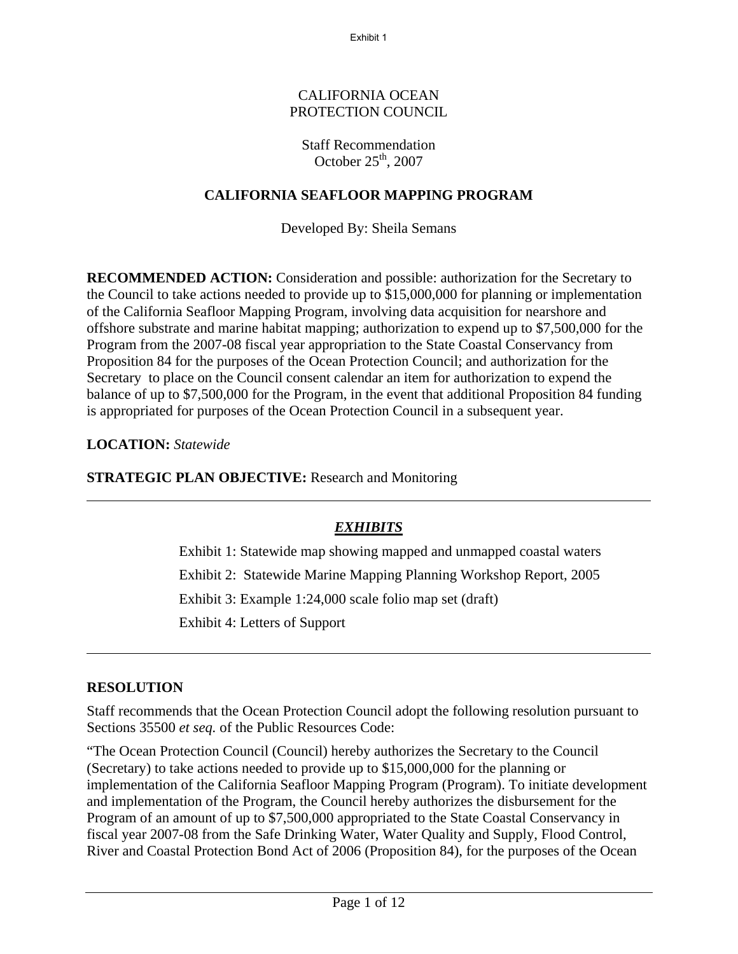Exhibit 1

#### CALIFORNIA OCEAN PROTECTION COUNCIL

## Staff Recommendation October  $25<sup>th</sup>$ , 2007

# **CALIFORNIA SEAFLOOR MAPPING PROGRAM**

Developed By: Sheila Semans

**RECOMMENDED ACTION:** Consideration and possible: authorization for the Secretary to the Council to take actions needed to provide up to \$15,000,000 for planning or implementation of the California Seafloor Mapping Program, involving data acquisition for nearshore and offshore substrate and marine habitat mapping; authorization to expend up to \$7,500,000 for the Program from the 2007-08 fiscal year appropriation to the State Coastal Conservancy from Proposition 84 for the purposes of the Ocean Protection Council; and authorization for the Secretary to place on the Council consent calendar an item for authorization to expend the balance of up to \$7,500,000 for the Program, in the event that additional Proposition 84 funding is appropriated for purposes of the Ocean Protection Council in a subsequent year.

# **LOCATION:** *Statewide*

**STRATEGIC PLAN OBJECTIVE:** Research and Monitoring

# *EXHIBITS*

Exhibit 1: Statewide map showing mapped and unmapped coastal waters Exhibit 2: Statewide Marine Mapping Planning Workshop Report, 2005 Exhibit 3: Example 1:24,000 scale folio map set (draft) Exhibit 4: Letters of Support

## **RESOLUTION**

Staff recommends that the Ocean Protection Council adopt the following resolution pursuant to Sections 35500 *et seq.* of the Public Resources Code:

"The Ocean Protection Council (Council) hereby authorizes the Secretary to the Council (Secretary) to take actions needed to provide up to \$15,000,000 for the planning or implementation of the California Seafloor Mapping Program (Program). To initiate development and implementation of the Program, the Council hereby authorizes the disbursement for the Program of an amount of up to \$7,500,000 appropriated to the State Coastal Conservancy in fiscal year 2007-08 from the Safe Drinking Water, Water Quality and Supply, Flood Control, River and Coastal Protection Bond Act of 2006 (Proposition 84), for the purposes of the Ocean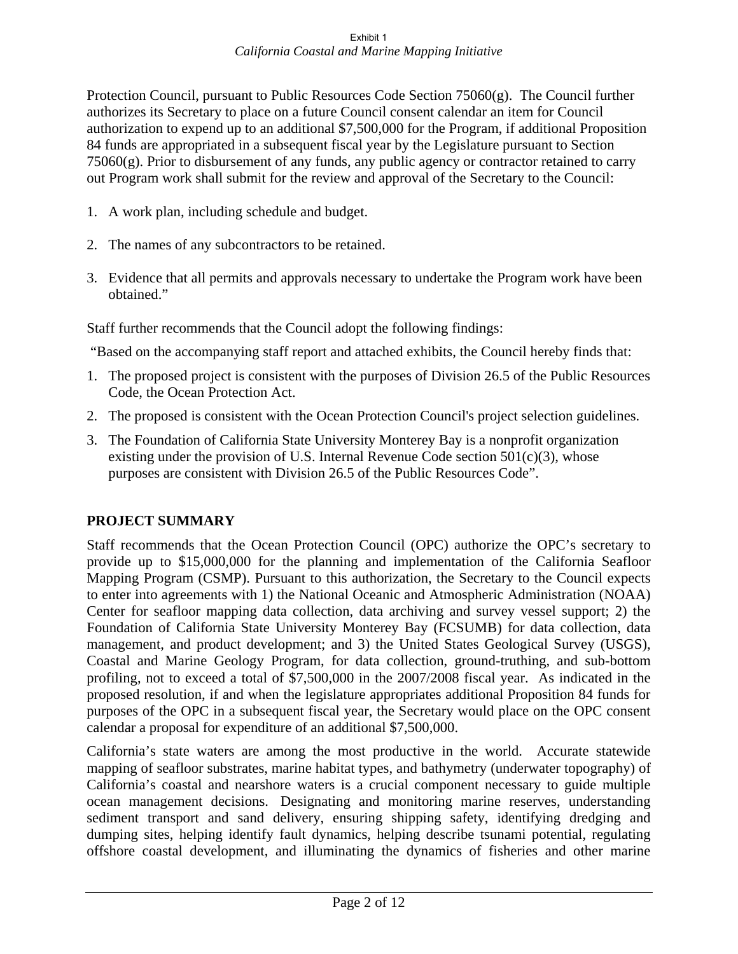Protection Council, pursuant to Public Resources Code Section 75060(g). The Council further authorizes its Secretary to place on a future Council consent calendar an item for Council authorization to expend up to an additional \$7,500,000 for the Program, if additional Proposition 84 funds are appropriated in a subsequent fiscal year by the Legislature pursuant to Section  $75060(g)$ . Prior to disbursement of any funds, any public agency or contractor retained to carry out Program work shall submit for the review and approval of the Secretary to the Council:

- 1. A work plan, including schedule and budget.
- 2. The names of any subcontractors to be retained.
- 3. Evidence that all permits and approvals necessary to undertake the Program work have been obtained."

Staff further recommends that the Council adopt the following findings:

"Based on the accompanying staff report and attached exhibits, the Council hereby finds that:

- 1. The proposed project is consistent with the purposes of Division 26.5 of the Public Resources Code, the Ocean Protection Act.
- 2. The proposed is consistent with the Ocean Protection Council's project selection guidelines.
- 3. The Foundation of California State University Monterey Bay is a nonprofit organization existing under the provision of U.S. Internal Revenue Code section  $501(c)(3)$ , whose purposes are consistent with Division 26.5 of the Public Resources Code".

# **PROJECT SUMMARY**

Staff recommends that the Ocean Protection Council (OPC) authorize the OPC's secretary to provide up to \$15,000,000 for the planning and implementation of the California Seafloor Mapping Program (CSMP). Pursuant to this authorization, the Secretary to the Council expects to enter into agreements with 1) the National Oceanic and Atmospheric Administration (NOAA) Center for seafloor mapping data collection, data archiving and survey vessel support; 2) the Foundation of California State University Monterey Bay (FCSUMB) for data collection, data management, and product development; and 3) the United States Geological Survey (USGS), Coastal and Marine Geology Program, for data collection, ground-truthing, and sub-bottom profiling, not to exceed a total of \$7,500,000 in the 2007/2008 fiscal year. As indicated in the proposed resolution, if and when the legislature appropriates additional Proposition 84 funds for purposes of the OPC in a subsequent fiscal year, the Secretary would place on the OPC consent calendar a proposal for expenditure of an additional \$7,500,000.

California's state waters are among the most productive in the world. Accurate statewide mapping of seafloor substrates, marine habitat types, and bathymetry (underwater topography) of California's coastal and nearshore waters is a crucial component necessary to guide multiple ocean management decisions. Designating and monitoring marine reserves, understanding sediment transport and sand delivery, ensuring shipping safety, identifying dredging and dumping sites, helping identify fault dynamics, helping describe tsunami potential, regulating offshore coastal development, and illuminating the dynamics of fisheries and other marine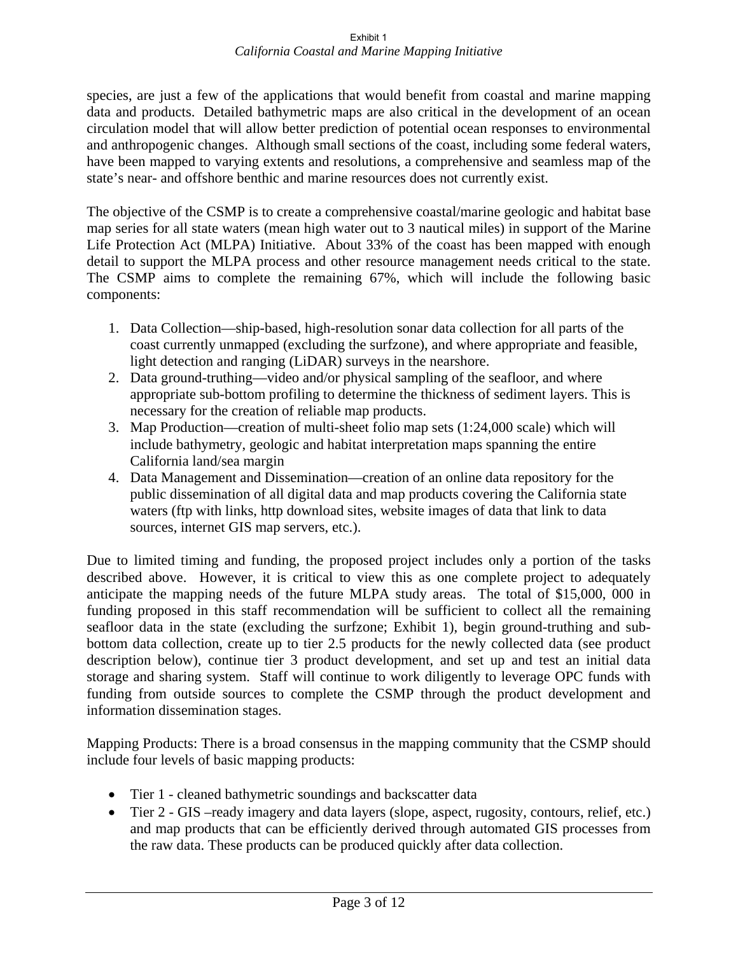species, are just a few of the applications that would benefit from coastal and marine mapping data and products. Detailed bathymetric maps are also critical in the development of an ocean circulation model that will allow better prediction of potential ocean responses to environmental and anthropogenic changes. Although small sections of the coast, including some federal waters, have been mapped to varying extents and resolutions, a comprehensive and seamless map of the state's near- and offshore benthic and marine resources does not currently exist.

The objective of the CSMP is to create a comprehensive coastal/marine geologic and habitat base map series for all state waters (mean high water out to 3 nautical miles) in support of the Marine Life Protection Act (MLPA) Initiative. About 33% of the coast has been mapped with enough detail to support the MLPA process and other resource management needs critical to the state. The CSMP aims to complete the remaining 67%, which will include the following basic components:

- 1. Data Collection—ship-based, high-resolution sonar data collection for all parts of the coast currently unmapped (excluding the surfzone), and where appropriate and feasible, light detection and ranging (LiDAR) surveys in the nearshore.
- 2. Data ground-truthing—video and/or physical sampling of the seafloor, and where appropriate sub-bottom profiling to determine the thickness of sediment layers. This is necessary for the creation of reliable map products.
- 3. Map Production—creation of multi-sheet folio map sets (1:24,000 scale) which will include bathymetry, geologic and habitat interpretation maps spanning the entire California land/sea margin
- 4. Data Management and Dissemination—creation of an online data repository for the public dissemination of all digital data and map products covering the California state waters (ftp with links, http download sites, website images of data that link to data sources, internet GIS map servers, etc.).

Due to limited timing and funding, the proposed project includes only a portion of the tasks described above. However, it is critical to view this as one complete project to adequately anticipate the mapping needs of the future MLPA study areas. The total of \$15,000, 000 in funding proposed in this staff recommendation will be sufficient to collect all the remaining seafloor data in the state (excluding the surfzone; Exhibit 1), begin ground-truthing and subbottom data collection, create up to tier 2.5 products for the newly collected data (see product description below), continue tier 3 product development, and set up and test an initial data storage and sharing system. Staff will continue to work diligently to leverage OPC funds with funding from outside sources to complete the CSMP through the product development and information dissemination stages.

Mapping Products: There is a broad consensus in the mapping community that the CSMP should include four levels of basic mapping products:

- Tier 1 cleaned bathymetric soundings and backscatter data
- Tier 2 GIS –ready imagery and data layers (slope, aspect, rugosity, contours, relief, etc.) and map products that can be efficiently derived through automated GIS processes from the raw data. These products can be produced quickly after data collection.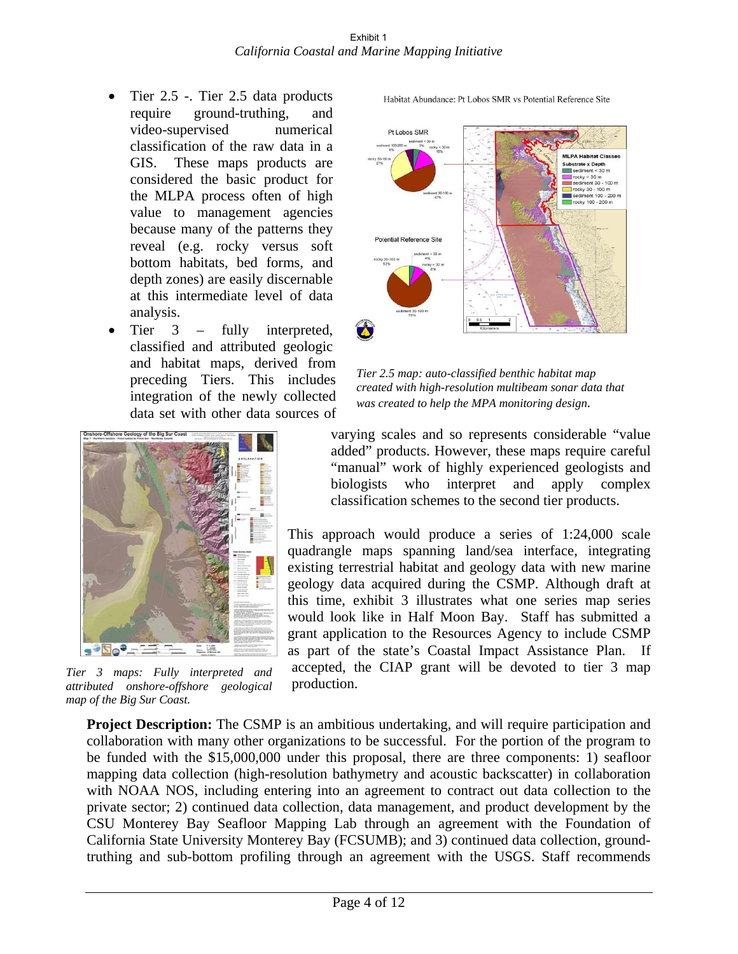- Tier 2.5 -. Tier 2.5 data products require ground-truthing, and video-supervised numerical classification of the raw data in a GIS. These maps products are considered the basic product for the MLPA process often of high value to management agencies because many of the patterns they reveal (e.g. rocky versus soft bottom habitats, bed forms, and depth zones) are easily discernable at this intermediate level of data analysis.
- Tier 3 fully interpreted, classified and attributed geologic and habitat maps, derived from preceding Tiers. This includes integration of the newly collected data set with other data sources of



*Tier 3 maps: Fully interpreted and attributed onshore-offshore geological map of the Big Sur Coast.* 

Habitat Abundance: Pt Lobos SMR vs Potential Reference Site



*Tier 2.5 map: auto-classified benthic habitat map created with high-resolution multibeam sonar data that was created to help the MPA monitoring design.* 

varying scales and so represents considerable "value added" products. However, these maps require careful "manual" work of highly experienced geologists and biologists who interpret and apply complex classification schemes to the second tier products.

This approach would produce a series of 1:24,000 scale quadrangle maps spanning land/sea interface, integrating existing terrestrial habitat and geology data with new marine geology data acquired during the CSMP. Although draft at this time, exhibit 3 illustrates what one series map series would look like in Half Moon Bay. Staff has submitted a grant application to the Resources Agency to include CSMP as part of the state's Coastal Impact Assistance Plan. If accepted, the CIAP grant will be devoted to tier 3 map production.

**Project Description:** The CSMP is an ambitious undertaking, and will require participation and collaboration with many other organizations to be successful. For the portion of the program to be funded with the \$15,000,000 under this proposal, there are three components: 1) seafloor mapping data collection (high-resolution bathymetry and acoustic backscatter) in collaboration with NOAA NOS, including entering into an agreement to contract out data collection to the private sector; 2) continued data collection, data management, and product development by the CSU Monterey Bay Seafloor Mapping Lab through an agreement with the Foundation of California State University Monterey Bay (FCSUMB); and 3) continued data collection, groundtruthing and sub-bottom profiling through an agreement with the USGS. Staff recommends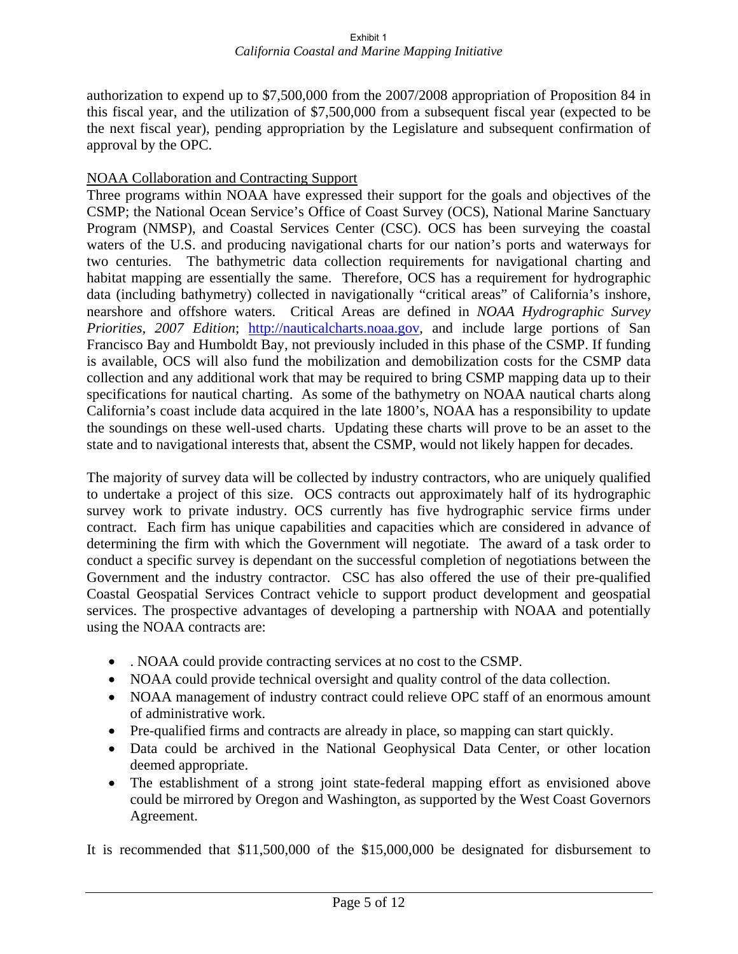authorization to expend up to \$7,500,000 from the 2007/2008 appropriation of Proposition 84 in this fiscal year, and the utilization of \$7,500,000 from a subsequent fiscal year (expected to be the next fiscal year), pending appropriation by the Legislature and subsequent confirmation of approval by the OPC.

## NOAA Collaboration and Contracting Support

Three programs within NOAA have expressed their support for the goals and objectives of the CSMP; the National Ocean Service's Office of Coast Survey (OCS), National Marine Sanctuary Program (NMSP), and Coastal Services Center (CSC). OCS has been surveying the coastal waters of the U.S. and producing navigational charts for our nation's ports and waterways for two centuries. The bathymetric data collection requirements for navigational charting and habitat mapping are essentially the same. Therefore, OCS has a requirement for hydrographic data (including bathymetry) collected in navigationally "critical areas" of California's inshore, nearshore and offshore waters. Critical Areas are defined in *NOAA Hydrographic Survey Priorities, 2007 Edition*; http://nauticalcharts.noaa.gov, and include large portions of San Francisco Bay and Humboldt Bay, not previously included in this phase of the CSMP. If funding is available, OCS will also fund the mobilization and demobilization costs for the CSMP data collection and any additional work that may be required to bring CSMP mapping data up to their specifications for nautical charting. As some of the bathymetry on NOAA nautical charts along California's coast include data acquired in the late 1800's, NOAA has a responsibility to update the soundings on these well-used charts. Updating these charts will prove to be an asset to the state and to navigational interests that, absent the CSMP, would not likely happen for decades.

The majority of survey data will be collected by industry contractors, who are uniquely qualified to undertake a project of this size. OCS contracts out approximately half of its hydrographic survey work to private industry. OCS currently has five hydrographic service firms under contract. Each firm has unique capabilities and capacities which are considered in advance of determining the firm with which the Government will negotiate. The award of a task order to conduct a specific survey is dependant on the successful completion of negotiations between the Government and the industry contractor. CSC has also offered the use of their pre-qualified Coastal Geospatial Services Contract vehicle to support product development and geospatial services. The prospective advantages of developing a partnership with NOAA and potentially using the NOAA contracts are:

- . NOAA could provide contracting services at no cost to the CSMP.
- NOAA could provide technical oversight and quality control of the data collection.
- NOAA management of industry contract could relieve OPC staff of an enormous amount of administrative work.
- Pre-qualified firms and contracts are already in place, so mapping can start quickly.
- Data could be archived in the National Geophysical Data Center, or other location deemed appropriate.
- The establishment of a strong joint state-federal mapping effort as envisioned above could be mirrored by Oregon and Washington, as supported by the West Coast Governors Agreement.

It is recommended that \$11,500,000 of the \$15,000,000 be designated for disbursement to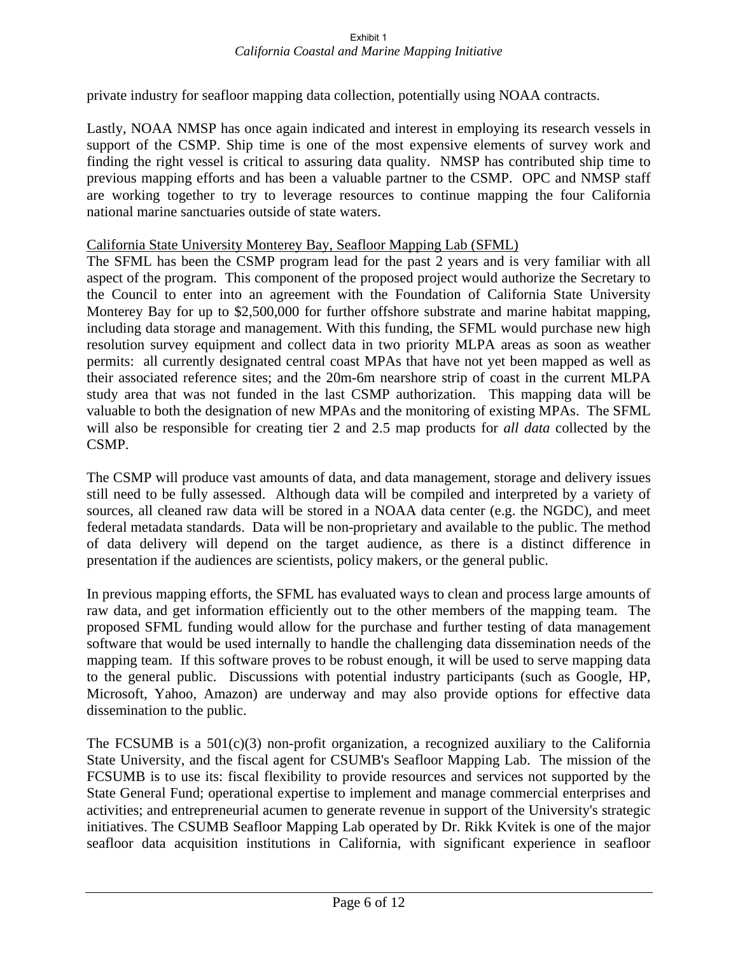private industry for seafloor mapping data collection, potentially using NOAA contracts.

Lastly, NOAA NMSP has once again indicated and interest in employing its research vessels in support of the CSMP. Ship time is one of the most expensive elements of survey work and finding the right vessel is critical to assuring data quality. NMSP has contributed ship time to previous mapping efforts and has been a valuable partner to the CSMP. OPC and NMSP staff are working together to try to leverage resources to continue mapping the four California national marine sanctuaries outside of state waters.

#### California State University Monterey Bay, Seafloor Mapping Lab (SFML)

The SFML has been the CSMP program lead for the past 2 years and is very familiar with all aspect of the program. This component of the proposed project would authorize the Secretary to the Council to enter into an agreement with the Foundation of California State University Monterey Bay for up to \$2,500,000 for further offshore substrate and marine habitat mapping, including data storage and management. With this funding, the SFML would purchase new high resolution survey equipment and collect data in two priority MLPA areas as soon as weather permits: all currently designated central coast MPAs that have not yet been mapped as well as their associated reference sites; and the 20m-6m nearshore strip of coast in the current MLPA study area that was not funded in the last CSMP authorization. This mapping data will be valuable to both the designation of new MPAs and the monitoring of existing MPAs. The SFML will also be responsible for creating tier 2 and 2.5 map products for *all data* collected by the CSMP.

The CSMP will produce vast amounts of data, and data management, storage and delivery issues still need to be fully assessed. Although data will be compiled and interpreted by a variety of sources, all cleaned raw data will be stored in a NOAA data center (e.g. the NGDC), and meet federal metadata standards. Data will be non-proprietary and available to the public. The method of data delivery will depend on the target audience, as there is a distinct difference in presentation if the audiences are scientists, policy makers, or the general public.

In previous mapping efforts, the SFML has evaluated ways to clean and process large amounts of raw data, and get information efficiently out to the other members of the mapping team. The proposed SFML funding would allow for the purchase and further testing of data management software that would be used internally to handle the challenging data dissemination needs of the mapping team. If this software proves to be robust enough, it will be used to serve mapping data to the general public. Discussions with potential industry participants (such as Google, HP, Microsoft, Yahoo, Amazon) are underway and may also provide options for effective data dissemination to the public.

The FCSUMB is a  $501(c)(3)$  non-profit organization, a recognized auxiliary to the California State University, and the fiscal agent for CSUMB's Seafloor Mapping Lab. The mission of the FCSUMB is to use its: fiscal flexibility to provide resources and services not supported by the State General Fund; operational expertise to implement and manage commercial enterprises and activities; and entrepreneurial acumen to generate revenue in support of the University's strategic initiatives. The CSUMB Seafloor Mapping Lab operated by Dr. Rikk Kvitek is one of the major seafloor data acquisition institutions in California, with significant experience in seafloor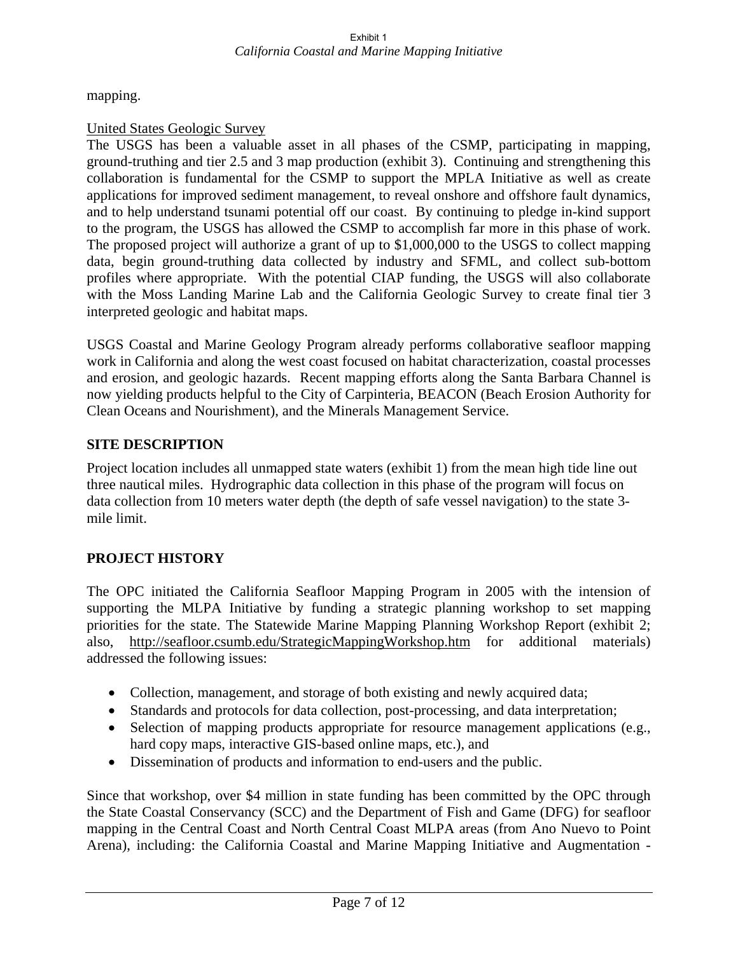mapping.

## United States Geologic Survey

The USGS has been a valuable asset in all phases of the CSMP, participating in mapping, ground-truthing and tier 2.5 and 3 map production (exhibit 3). Continuing and strengthening this collaboration is fundamental for the CSMP to support the MPLA Initiative as well as create applications for improved sediment management, to reveal onshore and offshore fault dynamics, and to help understand tsunami potential off our coast. By continuing to pledge in-kind support to the program, the USGS has allowed the CSMP to accomplish far more in this phase of work. The proposed project will authorize a grant of up to \$1,000,000 to the USGS to collect mapping data, begin ground-truthing data collected by industry and SFML, and collect sub-bottom profiles where appropriate. With the potential CIAP funding, the USGS will also collaborate with the Moss Landing Marine Lab and the California Geologic Survey to create final tier 3 interpreted geologic and habitat maps.

USGS Coastal and Marine Geology Program already performs collaborative seafloor mapping work in California and along the west coast focused on habitat characterization, coastal processes and erosion, and geologic hazards. Recent mapping efforts along the Santa Barbara Channel is now yielding products helpful to the City of Carpinteria, BEACON (Beach Erosion Authority for Clean Oceans and Nourishment), and the Minerals Management Service.

# **SITE DESCRIPTION**

Project location includes all unmapped state waters (exhibit 1) from the mean high tide line out three nautical miles. Hydrographic data collection in this phase of the program will focus on data collection from 10 meters water depth (the depth of safe vessel navigation) to the state 3 mile limit.

# **PROJECT HISTORY**

The OPC initiated the California Seafloor Mapping Program in 2005 with the intension of supporting the MLPA Initiative by funding a strategic planning workshop to set mapping priorities for the state. The Statewide Marine Mapping Planning Workshop Report (exhibit 2; also, http://seafloor.csumb.edu/StrategicMappingWorkshop.htm for additional materials) addressed the following issues:

- Collection, management, and storage of both existing and newly acquired data;
- Standards and protocols for data collection, post-processing, and data interpretation;
- Selection of mapping products appropriate for resource management applications (e.g., hard copy maps, interactive GIS-based online maps, etc.), and
- Dissemination of products and information to end-users and the public.

Since that workshop, over \$4 million in state funding has been committed by the OPC through the State Coastal Conservancy (SCC) and the Department of Fish and Game (DFG) for seafloor mapping in the Central Coast and North Central Coast MLPA areas (from Ano Nuevo to Point Arena), including: the California Coastal and Marine Mapping Initiative and Augmentation -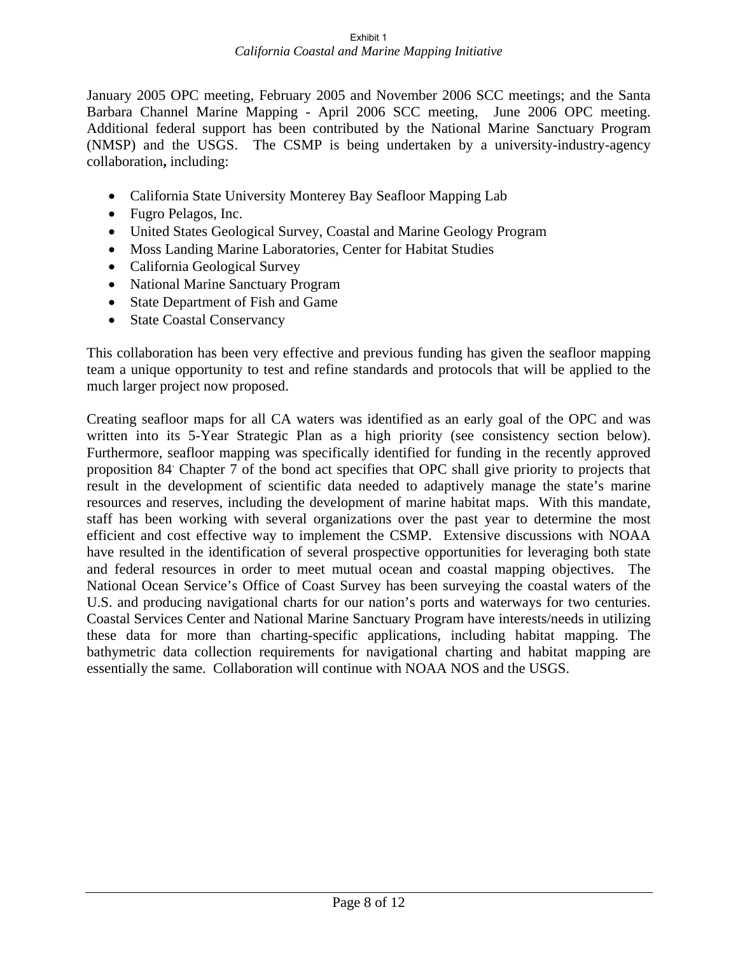January 2005 OPC meeting, February 2005 and November 2006 SCC meetings; and the Santa Barbara Channel Marine Mapping - April 2006 SCC meeting, June 2006 OPC meeting. Additional federal support has been contributed by the National Marine Sanctuary Program (NMSP) and the USGS. The CSMP is being undertaken by a university-industry-agency collaboration**,** including:

- California State University Monterey Bay Seafloor Mapping Lab
- Fugro Pelagos, Inc.
- United States Geological Survey, Coastal and Marine Geology Program
- Moss Landing Marine Laboratories, Center for Habitat Studies
- California Geological Survey
- National Marine Sanctuary Program
- State Department of Fish and Game
- State Coastal Conservancy

This collaboration has been very effective and previous funding has given the seafloor mapping team a unique opportunity to test and refine standards and protocols that will be applied to the much larger project now proposed.

Creating seafloor maps for all CA waters was identified as an early goal of the OPC and was written into its 5-Year Strategic Plan as a high priority (see consistency section below). Furthermore, seafloor mapping was specifically identified for funding in the recently approved proposition 84. Chapter 7 of the bond act specifies that OPC shall give priority to projects that result in the development of scientific data needed to adaptively manage the state's marine resources and reserves, including the development of marine habitat maps. With this mandate, staff has been working with several organizations over the past year to determine the most efficient and cost effective way to implement the CSMP. Extensive discussions with NOAA have resulted in the identification of several prospective opportunities for leveraging both state and federal resources in order to meet mutual ocean and coastal mapping objectives. The National Ocean Service's Office of Coast Survey has been surveying the coastal waters of the U.S. and producing navigational charts for our nation's ports and waterways for two centuries. Coastal Services Center and National Marine Sanctuary Program have interests/needs in utilizing these data for more than charting-specific applications, including habitat mapping. The bathymetric data collection requirements for navigational charting and habitat mapping are essentially the same. Collaboration will continue with NOAA NOS and the USGS.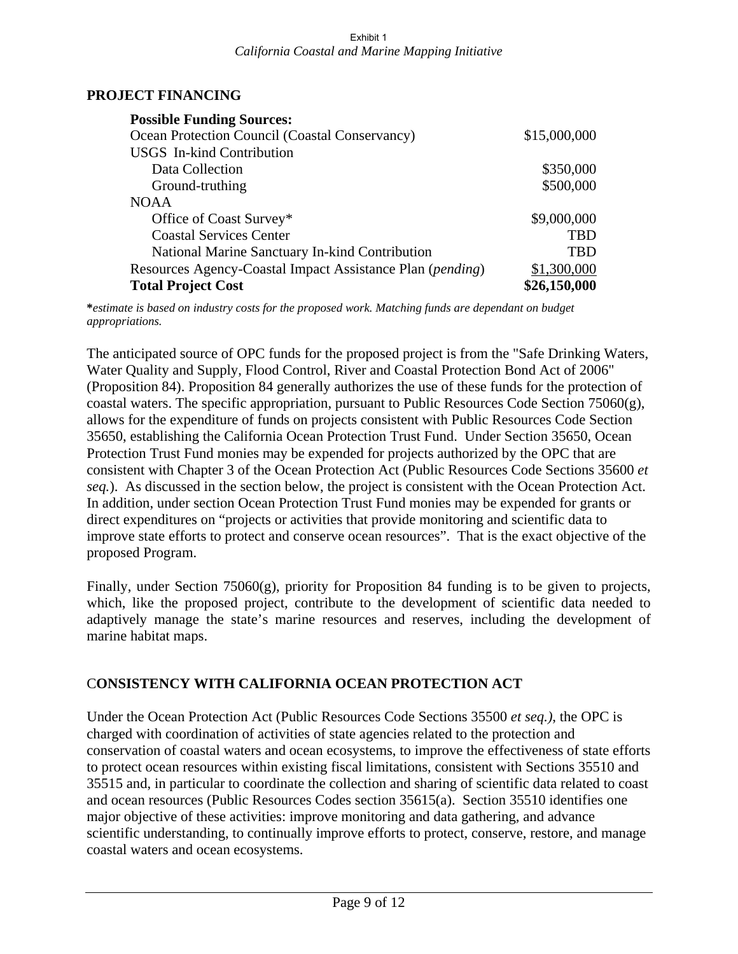### **PROJECT FINANCING**

| <b>Possible Funding Sources:</b>                          |              |
|-----------------------------------------------------------|--------------|
| Ocean Protection Council (Coastal Conservancy)            | \$15,000,000 |
| <b>USGS</b> In-kind Contribution                          |              |
| Data Collection                                           | \$350,000    |
| Ground-truthing                                           | \$500,000    |
| <b>NOAA</b>                                               |              |
| Office of Coast Survey*                                   | \$9,000,000  |
| <b>Coastal Services Center</b>                            | <b>TBD</b>   |
| National Marine Sanctuary In-kind Contribution            | <b>TBD</b>   |
| Resources Agency-Coastal Impact Assistance Plan (pending) | \$1,300,000  |
| <b>Total Project Cost</b>                                 | \$26,150,000 |

**\****estimate is based on industry costs for the proposed work. Matching funds are dependant on budget appropriations.* 

The anticipated source of OPC funds for the proposed project is from the "Safe Drinking Waters, Water Quality and Supply, Flood Control, River and Coastal Protection Bond Act of 2006" (Proposition 84). Proposition 84 generally authorizes the use of these funds for the protection of coastal waters. The specific appropriation, pursuant to Public Resources Code Section  $75060(g)$ , allows for the expenditure of funds on projects consistent with Public Resources Code Section 35650, establishing the California Ocean Protection Trust Fund. Under Section 35650, Ocean Protection Trust Fund monies may be expended for projects authorized by the OPC that are consistent with Chapter 3 of the Ocean Protection Act (Public Resources Code Sections 35600 *et seq.*). As discussed in the section below, the project is consistent with the Ocean Protection Act. In addition, under section Ocean Protection Trust Fund monies may be expended for grants or direct expenditures on "projects or activities that provide monitoring and scientific data to improve state efforts to protect and conserve ocean resources". That is the exact objective of the proposed Program.

Finally, under Section 75060(g), priority for Proposition 84 funding is to be given to projects, which, like the proposed project, contribute to the development of scientific data needed to adaptively manage the state's marine resources and reserves, including the development of marine habitat maps.

## C**ONSISTENCY WITH CALIFORNIA OCEAN PROTECTION ACT**

Under the Ocean Protection Act (Public Resources Code Sections 35500 *et seq.)*, the OPC is charged with coordination of activities of state agencies related to the protection and conservation of coastal waters and ocean ecosystems, to improve the effectiveness of state efforts to protect ocean resources within existing fiscal limitations, consistent with Sections 35510 and 35515 and, in particular to coordinate the collection and sharing of scientific data related to coast and ocean resources (Public Resources Codes section 35615(a). Section 35510 identifies one major objective of these activities: improve monitoring and data gathering, and advance scientific understanding, to continually improve efforts to protect, conserve, restore, and manage coastal waters and ocean ecosystems.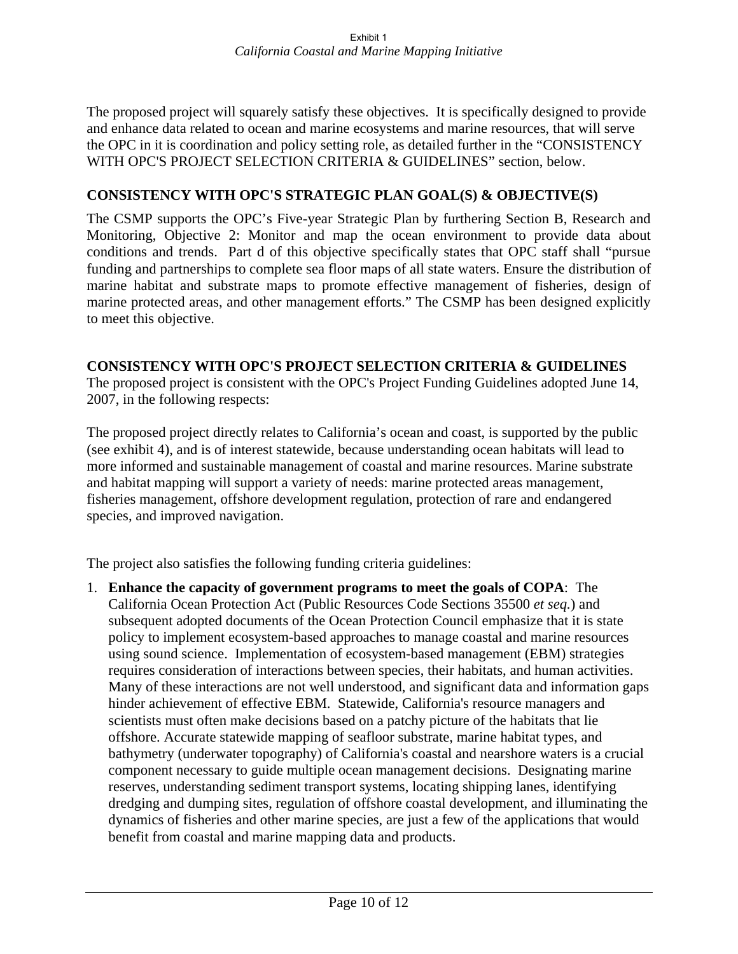The proposed project will squarely satisfy these objectives. It is specifically designed to provide and enhance data related to ocean and marine ecosystems and marine resources, that will serve the OPC in it is coordination and policy setting role, as detailed further in the "CONSISTENCY WITH OPC'S PROJECT SELECTION CRITERIA & GUIDELINES" section, below.

### **CONSISTENCY WITH OPC'S STRATEGIC PLAN GOAL(S) & OBJECTIVE(S)**

The CSMP supports the OPC's Five-year Strategic Plan by furthering Section B, Research and Monitoring, Objective 2: Monitor and map the ocean environment to provide data about conditions and trends. Part d of this objective specifically states that OPC staff shall "pursue funding and partnerships to complete sea floor maps of all state waters. Ensure the distribution of marine habitat and substrate maps to promote effective management of fisheries, design of marine protected areas, and other management efforts." The CSMP has been designed explicitly to meet this objective.

#### **CONSISTENCY WITH OPC'S PROJECT SELECTION CRITERIA & GUIDELINES**

The proposed project is consistent with the OPC's Project Funding Guidelines adopted June 14, 2007, in the following respects:

The proposed project directly relates to California's ocean and coast, is supported by the public (see exhibit 4), and is of interest statewide, because understanding ocean habitats will lead to more informed and sustainable management of coastal and marine resources. Marine substrate and habitat mapping will support a variety of needs: marine protected areas management, fisheries management, offshore development regulation, protection of rare and endangered species, and improved navigation.

The project also satisfies the following funding criteria guidelines:

1. **Enhance the capacity of government programs to meet the goals of COPA**: The California Ocean Protection Act (Public Resources Code Sections 35500 *et seq.*) and subsequent adopted documents of the Ocean Protection Council emphasize that it is state policy to implement ecosystem-based approaches to manage coastal and marine resources using sound science. Implementation of ecosystem-based management (EBM) strategies requires consideration of interactions between species, their habitats, and human activities. Many of these interactions are not well understood, and significant data and information gaps hinder achievement of effective EBM. Statewide, California's resource managers and scientists must often make decisions based on a patchy picture of the habitats that lie offshore. Accurate statewide mapping of seafloor substrate, marine habitat types, and bathymetry (underwater topography) of California's coastal and nearshore waters is a crucial component necessary to guide multiple ocean management decisions. Designating marine reserves, understanding sediment transport systems, locating shipping lanes, identifying dredging and dumping sites, regulation of offshore coastal development, and illuminating the dynamics of fisheries and other marine species, are just a few of the applications that would benefit from coastal and marine mapping data and products.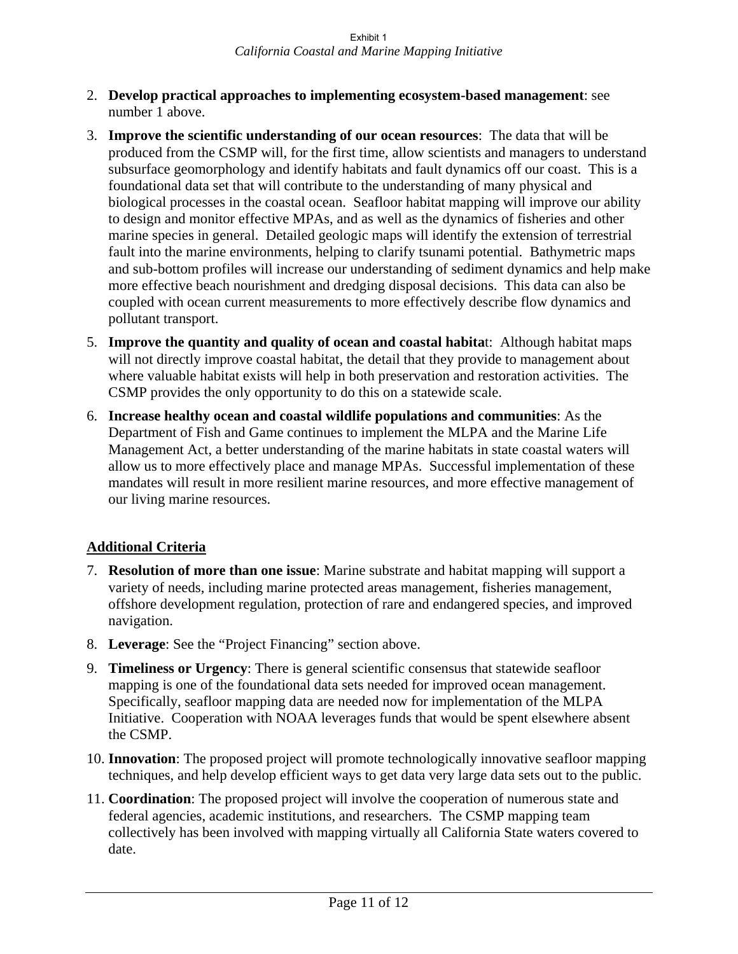- 2. **Develop practical approaches to implementing ecosystem-based management**: see number 1 above.
- 3. **Improve the scientific understanding of our ocean resources**: The data that will be produced from the CSMP will, for the first time, allow scientists and managers to understand subsurface geomorphology and identify habitats and fault dynamics off our coast. This is a foundational data set that will contribute to the understanding of many physical and biological processes in the coastal ocean. Seafloor habitat mapping will improve our ability to design and monitor effective MPAs, and as well as the dynamics of fisheries and other marine species in general. Detailed geologic maps will identify the extension of terrestrial fault into the marine environments, helping to clarify tsunami potential. Bathymetric maps and sub-bottom profiles will increase our understanding of sediment dynamics and help make more effective beach nourishment and dredging disposal decisions. This data can also be coupled with ocean current measurements to more effectively describe flow dynamics and pollutant transport.
- 5. **Improve the quantity and quality of ocean and coastal habita**t: Although habitat maps will not directly improve coastal habitat, the detail that they provide to management about where valuable habitat exists will help in both preservation and restoration activities. The CSMP provides the only opportunity to do this on a statewide scale.
- 6. **Increase healthy ocean and coastal wildlife populations and communities**: As the Department of Fish and Game continues to implement the MLPA and the Marine Life Management Act, a better understanding of the marine habitats in state coastal waters will allow us to more effectively place and manage MPAs. Successful implementation of these mandates will result in more resilient marine resources, and more effective management of our living marine resources.

## **Additional Criteria**

- 7. **Resolution of more than one issue**: Marine substrate and habitat mapping will support a variety of needs, including marine protected areas management, fisheries management, offshore development regulation, protection of rare and endangered species, and improved navigation.
- 8. **Leverage**: See the "Project Financing" section above.
- 9. **Timeliness or Urgency**: There is general scientific consensus that statewide seafloor mapping is one of the foundational data sets needed for improved ocean management. Specifically, seafloor mapping data are needed now for implementation of the MLPA Initiative. Cooperation with NOAA leverages funds that would be spent elsewhere absent the CSMP.
- 10. **Innovation**: The proposed project will promote technologically innovative seafloor mapping techniques, and help develop efficient ways to get data very large data sets out to the public.
- 11. **Coordination**: The proposed project will involve the cooperation of numerous state and federal agencies, academic institutions, and researchers. The CSMP mapping team collectively has been involved with mapping virtually all California State waters covered to date.